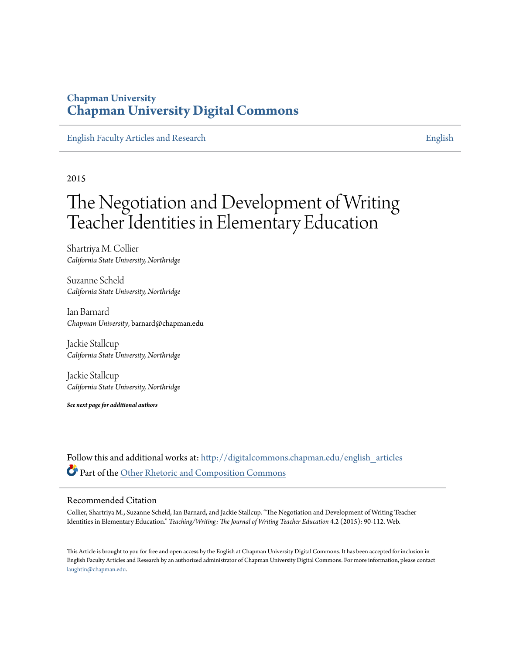### **Chapman University [Chapman University Digital Commons](http://digitalcommons.chapman.edu?utm_source=digitalcommons.chapman.edu%2Fenglish_articles%2F58&utm_medium=PDF&utm_campaign=PDFCoverPages)**

[English Faculty Articles and Research](http://digitalcommons.chapman.edu/english_articles?utm_source=digitalcommons.chapman.edu%2Fenglish_articles%2F58&utm_medium=PDF&utm_campaign=PDFCoverPages) [English](http://digitalcommons.chapman.edu/english?utm_source=digitalcommons.chapman.edu%2Fenglish_articles%2F58&utm_medium=PDF&utm_campaign=PDFCoverPages)

2015

### The Negotiation and Development of Writing Teacher Identities in Elementary Education

Shartriya M. Collier *California State University, Northridge*

Suzanne Scheld *California State University, Northridge*

Ian Barnard *Chapman University*, barnard@chapman.edu

Jackie Stallcup *California State University, Northridge*

Jackie Stallcup *California State University, Northridge*

*See next page for additional authors*

Follow this and additional works at: [http://digitalcommons.chapman.edu/english\\_articles](http://digitalcommons.chapman.edu/english_articles?utm_source=digitalcommons.chapman.edu%2Fenglish_articles%2F58&utm_medium=PDF&utm_campaign=PDFCoverPages) Part of the [Other Rhetoric and Composition Commons](http://network.bepress.com/hgg/discipline/576?utm_source=digitalcommons.chapman.edu%2Fenglish_articles%2F58&utm_medium=PDF&utm_campaign=PDFCoverPages)

#### Recommended Citation

Collier, Shartriya M., Suzanne Scheld, Ian Barnard, and Jackie Stallcup. "The Negotiation and Development of Writing Teacher Identities in Elementary Education." *Teaching/Writing: The Journal of Writing Teacher Education* 4.2 (2015): 90-112. Web.

This Article is brought to you for free and open access by the English at Chapman University Digital Commons. It has been accepted for inclusion in English Faculty Articles and Research by an authorized administrator of Chapman University Digital Commons. For more information, please contact [laughtin@chapman.edu](mailto:laughtin@chapman.edu).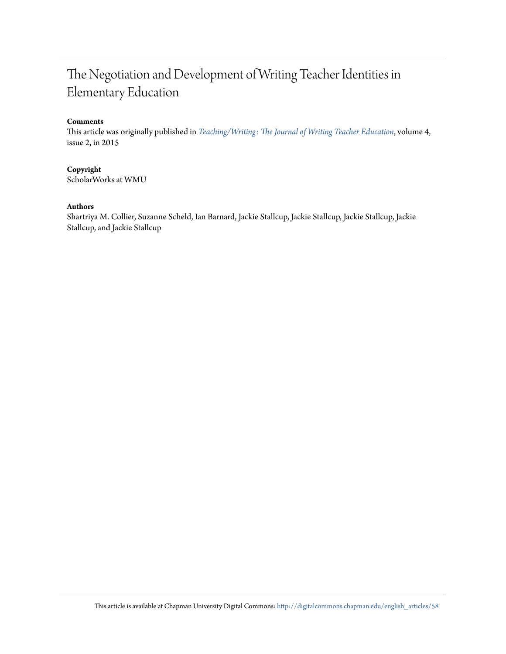### The Negotiation and Development of Writing Teacher Identities in Elementary Education

#### **Comments**

This article was originally published in *[Teaching/Writing: The Journal of Writing Teacher Education](http://scholarworks.wmich.edu/wte/vol4/iss2/6/)*, volume 4, issue 2, in 2015

### **Copyright**

ScholarWorks at WMU

#### **Authors**

Shartriya M. Collier, Suzanne Scheld, Ian Barnard, Jackie Stallcup, Jackie Stallcup, Jackie Stallcup, Jackie Stallcup, and Jackie Stallcup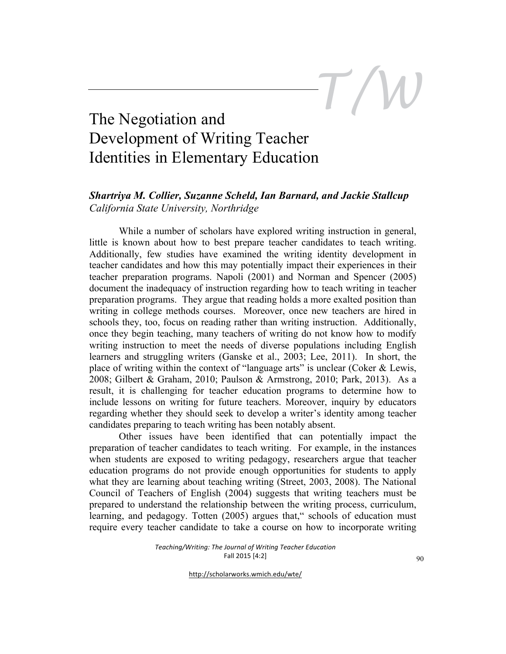### The Negotiation and Development of Writing Teacher Identities in Elementary Education

### *Shartriya M. Collier, Suzanne Scheld, Ian Barnard, and Jackie Stallcup California State University, Northridge*

While a number of scholars have explored writing instruction in general, little is known about how to best prepare teacher candidates to teach writing. Additionally, few studies have examined the writing identity development in teacher candidates and how this may potentially impact their experiences in their teacher preparation programs. Napoli (2001) and Norman and Spencer (2005) document the inadequacy of instruction regarding how to teach writing in teacher preparation programs. They argue that reading holds a more exalted position than writing in college methods courses. Moreover, once new teachers are hired in schools they, too, focus on reading rather than writing instruction. Additionally, once they begin teaching, many teachers of writing do not know how to modify writing instruction to meet the needs of diverse populations including English learners and struggling writers (Ganske et al., 2003; Lee, 2011). In short, the place of writing within the context of "language arts" is unclear (Coker & Lewis, 2008; Gilbert & Graham, 2010; Paulson & Armstrong, 2010; Park, 2013). As a result, it is challenging for teacher education programs to determine how to include lessons on writing for future teachers. Moreover, inquiry by educators regarding whether they should seek to develop a writer's identity among teacher candidates preparing to teach writing has been notably absent.

Other issues have been identified that can potentially impact the preparation of teacher candidates to teach writing. For example, in the instances when students are exposed to writing pedagogy, researchers argue that teacher education programs do not provide enough opportunities for students to apply what they are learning about teaching writing (Street, 2003, 2008). The National Council of Teachers of English (2004) suggests that writing teachers must be prepared to understand the relationship between the writing process, curriculum, learning, and pedagogy. Totten (2005) argues that," schools of education must require every teacher candidate to take a course on how to incorporate writing

http://scholarworks.wmich.edu/wte/

*T/W*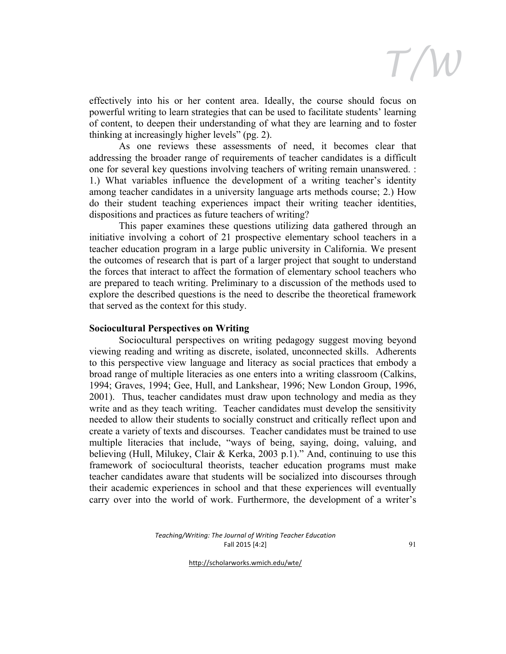

effectively into his or her content area. Ideally, the course should focus on powerful writing to learn strategies that can be used to facilitate students' learning of content, to deepen their understanding of what they are learning and to foster thinking at increasingly higher levels" (pg. 2).

As one reviews these assessments of need, it becomes clear that addressing the broader range of requirements of teacher candidates is a difficult one for several key questions involving teachers of writing remain unanswered. : 1.) What variables influence the development of a writing teacher's identity among teacher candidates in a university language arts methods course; 2.) How do their student teaching experiences impact their writing teacher identities, dispositions and practices as future teachers of writing?

This paper examines these questions utilizing data gathered through an initiative involving a cohort of 21 prospective elementary school teachers in a teacher education program in a large public university in California. We present the outcomes of research that is part of a larger project that sought to understand the forces that interact to affect the formation of elementary school teachers who are prepared to teach writing. Preliminary to a discussion of the methods used to explore the described questions is the need to describe the theoretical framework that served as the context for this study.

#### **Sociocultural Perspectives on Writing**

Sociocultural perspectives on writing pedagogy suggest moving beyond viewing reading and writing as discrete, isolated, unconnected skills. Adherents to this perspective view language and literacy as social practices that embody a broad range of multiple literacies as one enters into a writing classroom (Calkins, 1994; Graves, 1994; Gee, Hull, and Lankshear, 1996; New London Group, 1996, 2001). Thus, teacher candidates must draw upon technology and media as they write and as they teach writing. Teacher candidates must develop the sensitivity needed to allow their students to socially construct and critically reflect upon and create a variety of texts and discourses. Teacher candidates must be trained to use multiple literacies that include, "ways of being, saying, doing, valuing, and believing (Hull, Milukey, Clair & Kerka, 2003 p.1)." And, continuing to use this framework of sociocultural theorists, teacher education programs must make teacher candidates aware that students will be socialized into discourses through their academic experiences in school and that these experiences will eventually carry over into the world of work. Furthermore, the development of a writer's

> *Teaching/Writing: The Journal of Writing Teacher Education* Fall 2015 [4:2]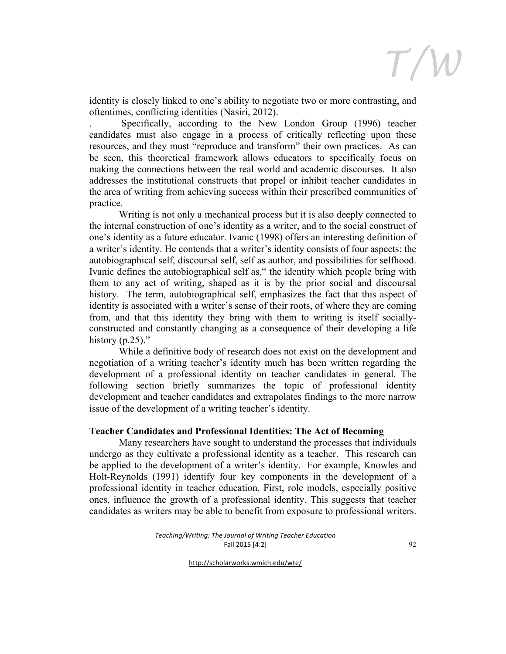

identity is closely linked to one's ability to negotiate two or more contrasting, and oftentimes, conflicting identities (Nasiri, 2012).

. Specifically, according to the New London Group (1996) teacher candidates must also engage in a process of critically reflecting upon these resources, and they must "reproduce and transform" their own practices. As can be seen, this theoretical framework allows educators to specifically focus on making the connections between the real world and academic discourses. It also addresses the institutional constructs that propel or inhibit teacher candidates in the area of writing from achieving success within their prescribed communities of practice.

Writing is not only a mechanical process but it is also deeply connected to the internal construction of one's identity as a writer, and to the social construct of one's identity as a future educator. Ivanic (1998) offers an interesting definition of a writer's identity. He contends that a writer's identity consists of four aspects: the autobiographical self, discoursal self, self as author, and possibilities for selfhood. Ivanic defines the autobiographical self as," the identity which people bring with them to any act of writing, shaped as it is by the prior social and discoursal history. The term, autobiographical self, emphasizes the fact that this aspect of identity is associated with a writer's sense of their roots, of where they are coming from, and that this identity they bring with them to writing is itself sociallyconstructed and constantly changing as a consequence of their developing a life history  $(p.25)$ ."

While a definitive body of research does not exist on the development and negotiation of a writing teacher's identity much has been written regarding the development of a professional identity on teacher candidates in general. The following section briefly summarizes the topic of professional identity development and teacher candidates and extrapolates findings to the more narrow issue of the development of a writing teacher's identity.

#### **Teacher Candidates and Professional Identities: The Act of Becoming**

Many researchers have sought to understand the processes that individuals undergo as they cultivate a professional identity as a teacher. This research can be applied to the development of a writer's identity. For example, Knowles and Holt-Reynolds (1991) identify four key components in the development of a professional identity in teacher education. First, role models, especially positive ones, influence the growth of a professional identity. This suggests that teacher candidates as writers may be able to benefit from exposure to professional writers.

> *Teaching/Writing: The Journal of Writing Teacher Education* Fall 2015 [4:2]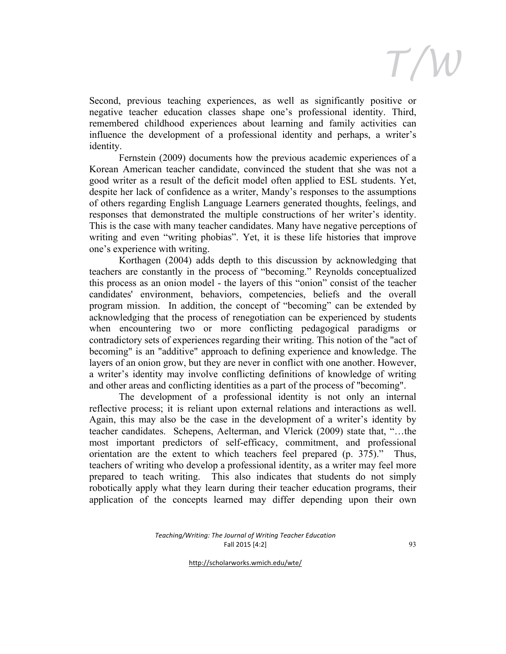Second, previous teaching experiences, as well as significantly positive or negative teacher education classes shape one's professional identity. Third, remembered childhood experiences about learning and family activities can influence the development of a professional identity and perhaps, a writer's identity.

Fernstein (2009) documents how the previous academic experiences of a Korean American teacher candidate, convinced the student that she was not a good writer as a result of the deficit model often applied to ESL students. Yet, despite her lack of confidence as a writer, Mandy's responses to the assumptions of others regarding English Language Learners generated thoughts, feelings, and responses that demonstrated the multiple constructions of her writer's identity. This is the case with many teacher candidates. Many have negative perceptions of writing and even "writing phobias". Yet, it is these life histories that improve one's experience with writing.

Korthagen (2004) adds depth to this discussion by acknowledging that teachers are constantly in the process of "becoming." Reynolds conceptualized this process as an onion model - the layers of this "onion" consist of the teacher candidates' environment, behaviors, competencies, beliefs and the overall program mission. In addition, the concept of "becoming" can be extended by acknowledging that the process of renegotiation can be experienced by students when encountering two or more conflicting pedagogical paradigms or contradictory sets of experiences regarding their writing. This notion of the "act of becoming" is an "additive" approach to defining experience and knowledge. The layers of an onion grow, but they are never in conflict with one another. However, a writer's identity may involve conflicting definitions of knowledge of writing and other areas and conflicting identities as a part of the process of "becoming".

The development of a professional identity is not only an internal reflective process; it is reliant upon external relations and interactions as well. Again, this may also be the case in the development of a writer's identity by teacher candidates. Schepens, Aelterman, and Vlerick (2009) state that, "…the most important predictors of self-efficacy, commitment, and professional orientation are the extent to which teachers feel prepared (p. 375)." Thus, teachers of writing who develop a professional identity, as a writer may feel more prepared to teach writing. This also indicates that students do not simply robotically apply what they learn during their teacher education programs, their application of the concepts learned may differ depending upon their own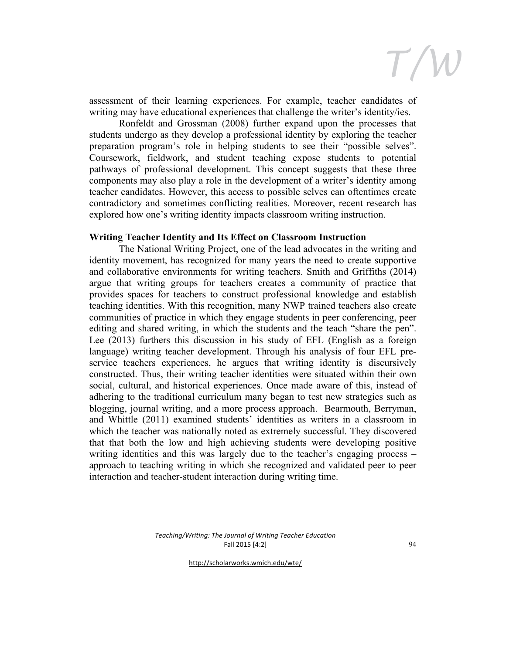

assessment of their learning experiences. For example, teacher candidates of writing may have educational experiences that challenge the writer's identity/ies.

Ronfeldt and Grossman (2008) further expand upon the processes that students undergo as they develop a professional identity by exploring the teacher preparation program's role in helping students to see their "possible selves". Coursework, fieldwork, and student teaching expose students to potential pathways of professional development. This concept suggests that these three components may also play a role in the development of a writer's identity among teacher candidates. However, this access to possible selves can oftentimes create contradictory and sometimes conflicting realities. Moreover, recent research has explored how one's writing identity impacts classroom writing instruction.

#### **Writing Teacher Identity and Its Effect on Classroom Instruction**

The National Writing Project, one of the lead advocates in the writing and identity movement, has recognized for many years the need to create supportive and collaborative environments for writing teachers. Smith and Griffiths (2014) argue that writing groups for teachers creates a community of practice that provides spaces for teachers to construct professional knowledge and establish teaching identities. With this recognition, many NWP trained teachers also create communities of practice in which they engage students in peer conferencing, peer editing and shared writing, in which the students and the teach "share the pen". Lee (2013) furthers this discussion in his study of EFL (English as a foreign language) writing teacher development. Through his analysis of four EFL preservice teachers experiences, he argues that writing identity is discursively constructed. Thus, their writing teacher identities were situated within their own social, cultural, and historical experiences. Once made aware of this, instead of adhering to the traditional curriculum many began to test new strategies such as blogging, journal writing, and a more process approach. Bearmouth, Berryman, and Whittle (2011) examined students' identities as writers in a classroom in which the teacher was nationally noted as extremely successful. They discovered that that both the low and high achieving students were developing positive writing identities and this was largely due to the teacher's engaging process – approach to teaching writing in which she recognized and validated peer to peer interaction and teacher-student interaction during writing time.

> *Teaching/Writing: The Journal of Writing Teacher Education* Fall 2015 [4:2]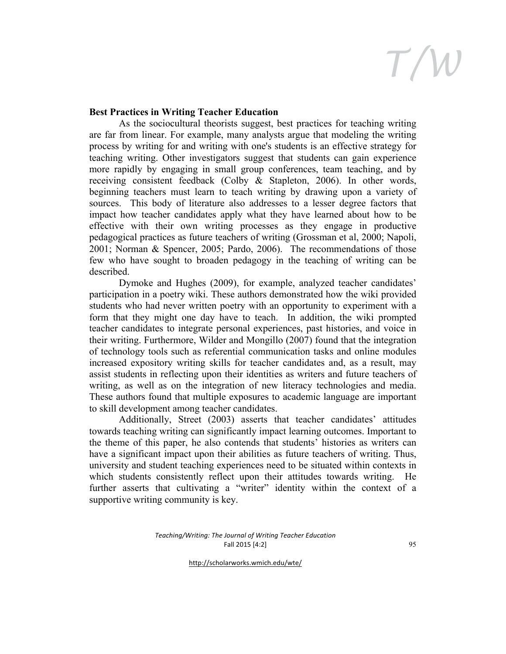### **Best Practices in Writing Teacher Education**

As the sociocultural theorists suggest, best practices for teaching writing are far from linear. For example, many analysts argue that modeling the writing process by writing for and writing with one's students is an effective strategy for teaching writing. Other investigators suggest that students can gain experience more rapidly by engaging in small group conferences, team teaching, and by receiving consistent feedback (Colby & Stapleton, 2006). In other words, beginning teachers must learn to teach writing by drawing upon a variety of sources. This body of literature also addresses to a lesser degree factors that impact how teacher candidates apply what they have learned about how to be effective with their own writing processes as they engage in productive pedagogical practices as future teachers of writing (Grossman et al, 2000; Napoli, 2001; Norman & Spencer, 2005; Pardo, 2006). The recommendations of those few who have sought to broaden pedagogy in the teaching of writing can be described.

Dymoke and Hughes (2009), for example, analyzed teacher candidates' participation in a poetry wiki. These authors demonstrated how the wiki provided students who had never written poetry with an opportunity to experiment with a form that they might one day have to teach. In addition, the wiki prompted teacher candidates to integrate personal experiences, past histories, and voice in their writing. Furthermore, Wilder and Mongillo (2007) found that the integration of technology tools such as referential communication tasks and online modules increased expository writing skills for teacher candidates and, as a result, may assist students in reflecting upon their identities as writers and future teachers of writing, as well as on the integration of new literacy technologies and media. These authors found that multiple exposures to academic language are important to skill development among teacher candidates.

Additionally, Street (2003) asserts that teacher candidates' attitudes towards teaching writing can significantly impact learning outcomes. Important to the theme of this paper, he also contends that students' histories as writers can have a significant impact upon their abilities as future teachers of writing. Thus, university and student teaching experiences need to be situated within contexts in which students consistently reflect upon their attitudes towards writing. He further asserts that cultivating a "writer" identity within the context of a supportive writing community is key.

> *Teaching/Writing: The Journal of Writing Teacher Education* Fall 2015 [4:2]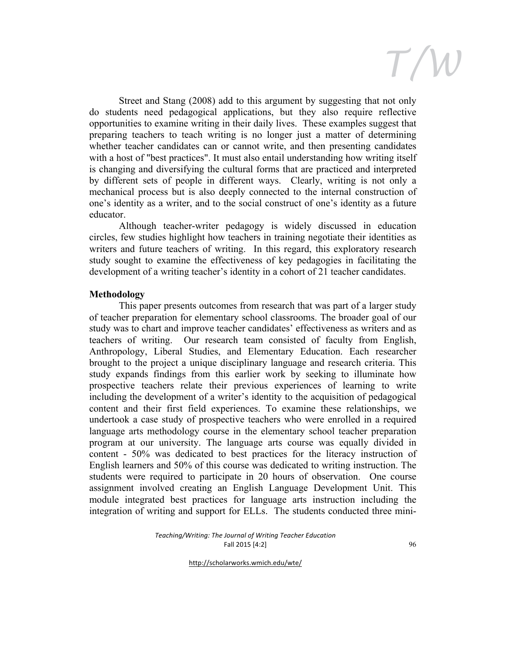Street and Stang (2008) add to this argument by suggesting that not only do students need pedagogical applications, but they also require reflective opportunities to examine writing in their daily lives. These examples suggest that preparing teachers to teach writing is no longer just a matter of determining whether teacher candidates can or cannot write, and then presenting candidates with a host of "best practices". It must also entail understanding how writing itself is changing and diversifying the cultural forms that are practiced and interpreted by different sets of people in different ways. Clearly, writing is not only a mechanical process but is also deeply connected to the internal construction of one's identity as a writer, and to the social construct of one's identity as a future educator.

Although teacher-writer pedagogy is widely discussed in education circles, few studies highlight how teachers in training negotiate their identities as writers and future teachers of writing. In this regard, this exploratory research study sought to examine the effectiveness of key pedagogies in facilitating the development of a writing teacher's identity in a cohort of 21 teacher candidates.

### **Methodology**

This paper presents outcomes from research that was part of a larger study of teacher preparation for elementary school classrooms. The broader goal of our study was to chart and improve teacher candidates' effectiveness as writers and as teachers of writing. Our research team consisted of faculty from English, Anthropology, Liberal Studies, and Elementary Education. Each researcher brought to the project a unique disciplinary language and research criteria. This study expands findings from this earlier work by seeking to illuminate how prospective teachers relate their previous experiences of learning to write including the development of a writer's identity to the acquisition of pedagogical content and their first field experiences. To examine these relationships, we undertook a case study of prospective teachers who were enrolled in a required language arts methodology course in the elementary school teacher preparation program at our university. The language arts course was equally divided in content - 50% was dedicated to best practices for the literacy instruction of English learners and 50% of this course was dedicated to writing instruction. The students were required to participate in 20 hours of observation. One course assignment involved creating an English Language Development Unit. This module integrated best practices for language arts instruction including the integration of writing and support for ELLs. The students conducted three mini-

> *Teaching/Writing: The Journal of Writing Teacher Education* Fall 2015 [4:2]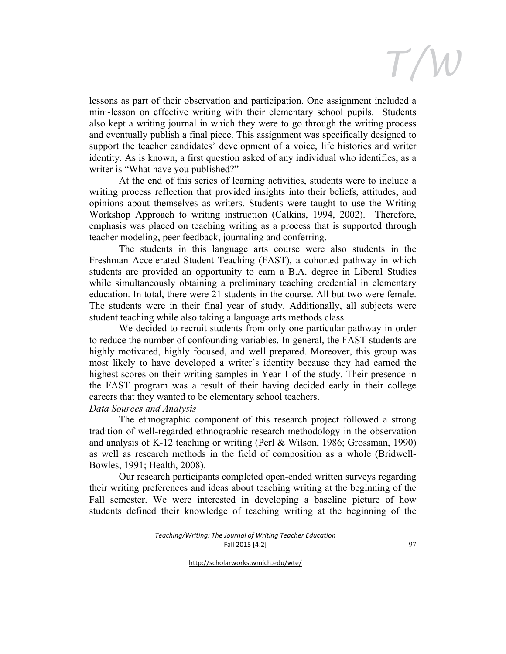lessons as part of their observation and participation. One assignment included a mini-lesson on effective writing with their elementary school pupils. Students also kept a writing journal in which they were to go through the writing process and eventually publish a final piece. This assignment was specifically designed to support the teacher candidates' development of a voice, life histories and writer identity. As is known, a first question asked of any individual who identifies, as a writer is "What have you published?"

At the end of this series of learning activities, students were to include a writing process reflection that provided insights into their beliefs, attitudes, and opinions about themselves as writers. Students were taught to use the Writing Workshop Approach to writing instruction (Calkins, 1994, 2002). Therefore, emphasis was placed on teaching writing as a process that is supported through teacher modeling, peer feedback, journaling and conferring.

The students in this language arts course were also students in the Freshman Accelerated Student Teaching (FAST), a cohorted pathway in which students are provided an opportunity to earn a B.A. degree in Liberal Studies while simultaneously obtaining a preliminary teaching credential in elementary education. In total, there were 21 students in the course. All but two were female. The students were in their final year of study. Additionally, all subjects were student teaching while also taking a language arts methods class.

We decided to recruit students from only one particular pathway in order to reduce the number of confounding variables. In general, the FAST students are highly motivated, highly focused, and well prepared. Moreover, this group was most likely to have developed a writer's identity because they had earned the highest scores on their writing samples in Year 1 of the study. Their presence in the FAST program was a result of their having decided early in their college careers that they wanted to be elementary school teachers.

### *Data Sources and Analysis*

The ethnographic component of this research project followed a strong tradition of well-regarded ethnographic research methodology in the observation and analysis of K-12 teaching or writing (Perl & Wilson, 1986; Grossman, 1990) as well as research methods in the field of composition as a whole (Bridwell-Bowles, 1991; Health, 2008).

Our research participants completed open-ended written surveys regarding their writing preferences and ideas about teaching writing at the beginning of the Fall semester. We were interested in developing a baseline picture of how students defined their knowledge of teaching writing at the beginning of the

> *Teaching/Writing: The Journal of Writing Teacher Education* Fall 2015 [4:2]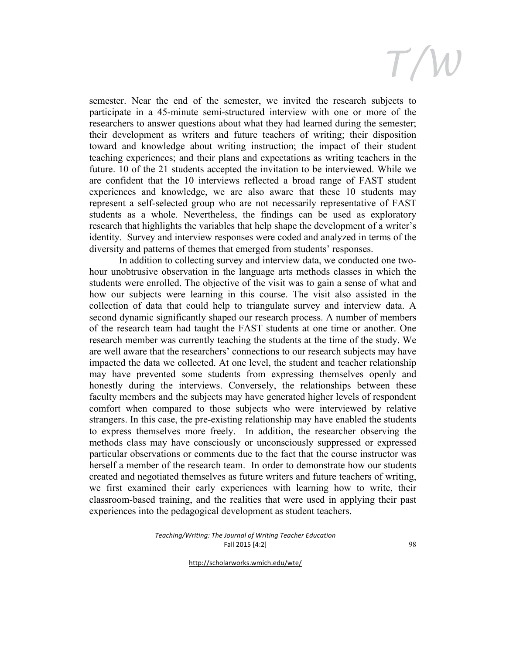semester. Near the end of the semester, we invited the research subjects to participate in a 45-minute semi-structured interview with one or more of the researchers to answer questions about what they had learned during the semester; their development as writers and future teachers of writing; their disposition toward and knowledge about writing instruction; the impact of their student teaching experiences; and their plans and expectations as writing teachers in the future. 10 of the 21 students accepted the invitation to be interviewed. While we are confident that the 10 interviews reflected a broad range of FAST student experiences and knowledge, we are also aware that these 10 students may represent a self-selected group who are not necessarily representative of FAST students as a whole. Nevertheless, the findings can be used as exploratory research that highlights the variables that help shape the development of a writer's identity. Survey and interview responses were coded and analyzed in terms of the diversity and patterns of themes that emerged from students' responses.

In addition to collecting survey and interview data, we conducted one twohour unobtrusive observation in the language arts methods classes in which the students were enrolled. The objective of the visit was to gain a sense of what and how our subjects were learning in this course. The visit also assisted in the collection of data that could help to triangulate survey and interview data. A second dynamic significantly shaped our research process. A number of members of the research team had taught the FAST students at one time or another. One research member was currently teaching the students at the time of the study. We are well aware that the researchers' connections to our research subjects may have impacted the data we collected. At one level, the student and teacher relationship may have prevented some students from expressing themselves openly and honestly during the interviews. Conversely, the relationships between these faculty members and the subjects may have generated higher levels of respondent comfort when compared to those subjects who were interviewed by relative strangers. In this case, the pre-existing relationship may have enabled the students to express themselves more freely. In addition, the researcher observing the methods class may have consciously or unconsciously suppressed or expressed particular observations or comments due to the fact that the course instructor was herself a member of the research team. In order to demonstrate how our students created and negotiated themselves as future writers and future teachers of writing, we first examined their early experiences with learning how to write, their classroom-based training, and the realities that were used in applying their past experiences into the pedagogical development as student teachers.

#### *Teaching/Writing: The Journal of Writing Teacher Education* Fall 2015 [4:2]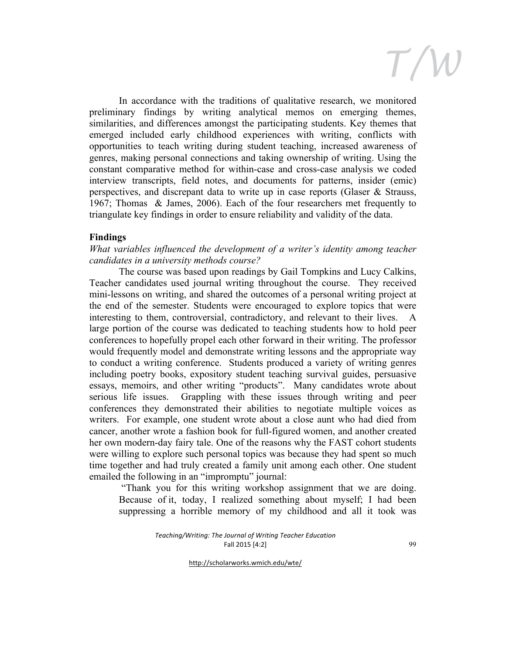In accordance with the traditions of qualitative research, we monitored preliminary findings by writing analytical memos on emerging themes, similarities, and differences amongst the participating students. Key themes that emerged included early childhood experiences with writing, conflicts with opportunities to teach writing during student teaching, increased awareness of genres, making personal connections and taking ownership of writing. Using the constant comparative method for within-case and cross-case analysis we coded interview transcripts, field notes, and documents for patterns, insider (emic) perspectives, and discrepant data to write up in case reports (Glaser & Strauss, 1967; Thomas & James, 2006). Each of the four researchers met frequently to triangulate key findings in order to ensure reliability and validity of the data.

#### **Findings**

*What variables influenced the development of a writer's identity among teacher candidates in a university methods course?*

The course was based upon readings by Gail Tompkins and Lucy Calkins, Teacher candidates used journal writing throughout the course. They received mini-lessons on writing, and shared the outcomes of a personal writing project at the end of the semester. Students were encouraged to explore topics that were interesting to them, controversial, contradictory, and relevant to their lives. A large portion of the course was dedicated to teaching students how to hold peer conferences to hopefully propel each other forward in their writing. The professor would frequently model and demonstrate writing lessons and the appropriate way to conduct a writing conference. Students produced a variety of writing genres including poetry books, expository student teaching survival guides, persuasive essays, memoirs, and other writing "products". Many candidates wrote about serious life issues. Grappling with these issues through writing and peer conferences they demonstrated their abilities to negotiate multiple voices as writers. For example, one student wrote about a close aunt who had died from cancer, another wrote a fashion book for full-figured women, and another created her own modern-day fairy tale. One of the reasons why the FAST cohort students were willing to explore such personal topics was because they had spent so much time together and had truly created a family unit among each other. One student emailed the following in an "impromptu" journal:

"Thank you for this writing workshop assignment that we are doing. Because of it, today, I realized something about myself; I had been suppressing a horrible memory of my childhood and all it took was

> *Teaching/Writing: The Journal of Writing Teacher Education* Fall 2015 [4:2]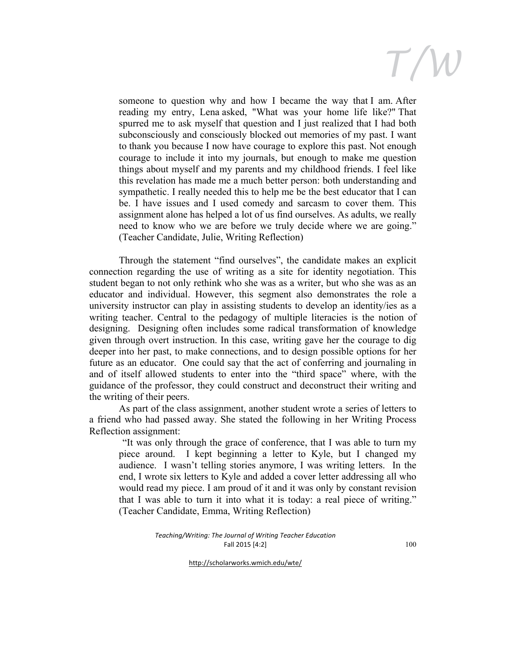someone to question why and how I became the way that I am. After reading my entry, Lena asked, "What was your home life like?" That spurred me to ask myself that question and I just realized that I had both subconsciously and consciously blocked out memories of my past. I want to thank you because I now have courage to explore this past. Not enough courage to include it into my journals, but enough to make me question things about myself and my parents and my childhood friends. I feel like this revelation has made me a much better person: both understanding and sympathetic. I really needed this to help me be the best educator that I can be. I have issues and I used comedy and sarcasm to cover them. This assignment alone has helped a lot of us find ourselves. As adults, we really need to know who we are before we truly decide where we are going." (Teacher Candidate, Julie, Writing Reflection)

Through the statement "find ourselves", the candidate makes an explicit connection regarding the use of writing as a site for identity negotiation. This student began to not only rethink who she was as a writer, but who she was as an educator and individual. However, this segment also demonstrates the role a university instructor can play in assisting students to develop an identity/ies as a writing teacher. Central to the pedagogy of multiple literacies is the notion of designing. Designing often includes some radical transformation of knowledge given through overt instruction. In this case, writing gave her the courage to dig deeper into her past, to make connections, and to design possible options for her future as an educator. One could say that the act of conferring and journaling in and of itself allowed students to enter into the "third space" where, with the guidance of the professor, they could construct and deconstruct their writing and the writing of their peers.

As part of the class assignment, another student wrote a series of letters to a friend who had passed away. She stated the following in her Writing Process Reflection assignment:

"It was only through the grace of conference, that I was able to turn my piece around. I kept beginning a letter to Kyle, but I changed my audience. I wasn't telling stories anymore, I was writing letters. In the end, I wrote six letters to Kyle and added a cover letter addressing all who would read my piece. I am proud of it and it was only by constant revision that I was able to turn it into what it is today: a real piece of writing." (Teacher Candidate, Emma, Writing Reflection)

> *Teaching/Writing: The Journal of Writing Teacher Education* Fall 2015 [4:2]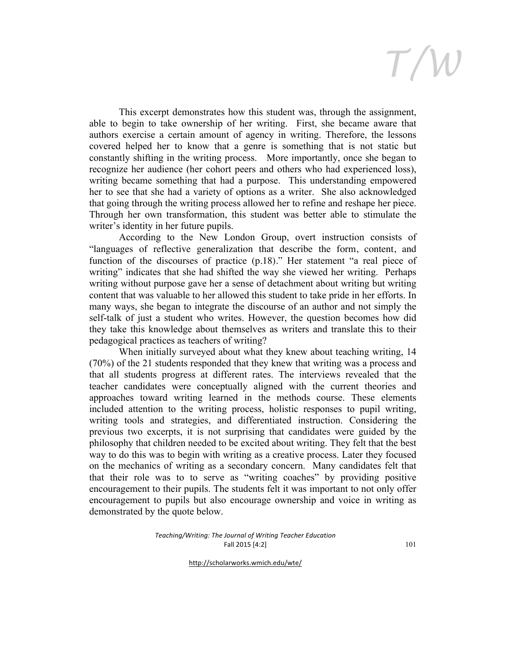This excerpt demonstrates how this student was, through the assignment, able to begin to take ownership of her writing. First, she became aware that authors exercise a certain amount of agency in writing. Therefore, the lessons covered helped her to know that a genre is something that is not static but constantly shifting in the writing process. More importantly, once she began to recognize her audience (her cohort peers and others who had experienced loss), writing became something that had a purpose. This understanding empowered her to see that she had a variety of options as a writer. She also acknowledged that going through the writing process allowed her to refine and reshape her piece. Through her own transformation, this student was better able to stimulate the writer's identity in her future pupils.

According to the New London Group, overt instruction consists of "languages of reflective generalization that describe the form, content, and function of the discourses of practice (p.18)." Her statement "a real piece of writing" indicates that she had shifted the way she viewed her writing. Perhaps writing without purpose gave her a sense of detachment about writing but writing content that was valuable to her allowed this student to take pride in her efforts. In many ways, she began to integrate the discourse of an author and not simply the self-talk of just a student who writes. However, the question becomes how did they take this knowledge about themselves as writers and translate this to their pedagogical practices as teachers of writing?

When initially surveyed about what they knew about teaching writing, 14 (70%) of the 21 students responded that they knew that writing was a process and that all students progress at different rates. The interviews revealed that the teacher candidates were conceptually aligned with the current theories and approaches toward writing learned in the methods course. These elements included attention to the writing process, holistic responses to pupil writing, writing tools and strategies, and differentiated instruction. Considering the previous two excerpts, it is not surprising that candidates were guided by the philosophy that children needed to be excited about writing. They felt that the best way to do this was to begin with writing as a creative process. Later they focused on the mechanics of writing as a secondary concern. Many candidates felt that that their role was to to serve as "writing coaches" by providing positive encouragement to their pupils. The students felt it was important to not only offer encouragement to pupils but also encourage ownership and voice in writing as demonstrated by the quote below.

> *Teaching/Writing: The Journal of Writing Teacher Education* Fall 2015 [4:2]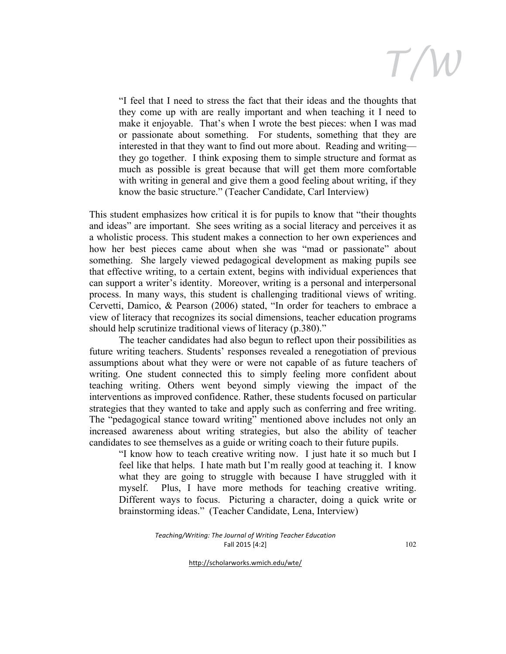"I feel that I need to stress the fact that their ideas and the thoughts that they come up with are really important and when teaching it I need to make it enjoyable. That's when I wrote the best pieces: when I was mad or passionate about something. For students, something that they are interested in that they want to find out more about. Reading and writing they go together. I think exposing them to simple structure and format as much as possible is great because that will get them more comfortable with writing in general and give them a good feeling about writing, if they know the basic structure." (Teacher Candidate, Carl Interview)

This student emphasizes how critical it is for pupils to know that "their thoughts and ideas" are important. She sees writing as a social literacy and perceives it as a wholistic process. This student makes a connection to her own experiences and how her best pieces came about when she was "mad or passionate" about something. She largely viewed pedagogical development as making pupils see that effective writing, to a certain extent, begins with individual experiences that can support a writer's identity. Moreover, writing is a personal and interpersonal process. In many ways, this student is challenging traditional views of writing. Cervetti, Damico, & Pearson (2006) stated, "In order for teachers to embrace a view of literacy that recognizes its social dimensions, teacher education programs should help scrutinize traditional views of literacy (p.380)."

The teacher candidates had also begun to reflect upon their possibilities as future writing teachers. Students' responses revealed a renegotiation of previous assumptions about what they were or were not capable of as future teachers of writing. One student connected this to simply feeling more confident about teaching writing. Others went beyond simply viewing the impact of the interventions as improved confidence. Rather, these students focused on particular strategies that they wanted to take and apply such as conferring and free writing. The "pedagogical stance toward writing" mentioned above includes not only an increased awareness about writing strategies, but also the ability of teacher candidates to see themselves as a guide or writing coach to their future pupils.

"I know how to teach creative writing now. I just hate it so much but I feel like that helps. I hate math but I'm really good at teaching it. I know what they are going to struggle with because I have struggled with it myself. Plus, I have more methods for teaching creative writing. Different ways to focus. Picturing a character, doing a quick write or brainstorming ideas." (Teacher Candidate, Lena, Interview)

> *Teaching/Writing: The Journal of Writing Teacher Education* Fall 2015 [4:2]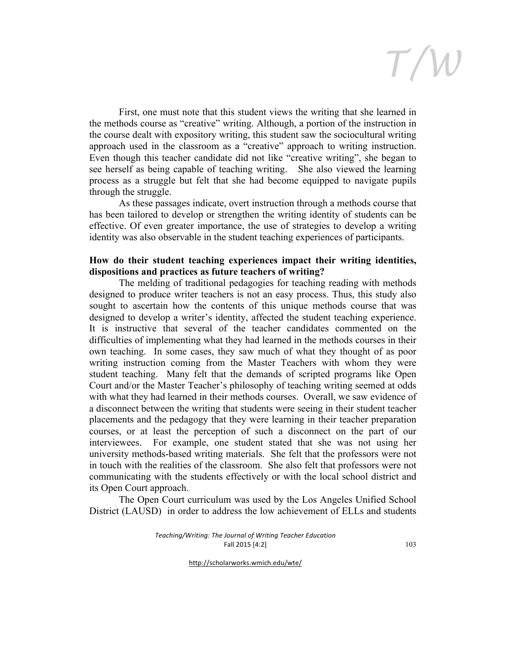First, one must note that this student views the writing that she learned in the methods course as "creative" writing. Although, a portion of the instruction in the course dealt with expository writing, this student saw the sociocultural writing approach used in the classroom as a "creative" approach to writing instruction. Even though this teacher candidate did not like "creative writing", she began to see herself as being capable of teaching writing. She also viewed the learning process as a struggle but felt that she had become equipped to navigate pupils through the struggle.

As these passages indicate, overt instruction through a methods course that has been tailored to develop or strengthen the writing identity of students can be effective. Of even greater importance, the use of strategies to develop a writing identity was also observable in the student teaching experiences of participants.

### **How do their student teaching experiences impact their writing identities, dispositions and practices as future teachers of writing?**

The melding of traditional pedagogies for teaching reading with methods designed to produce writer teachers is not an easy process. Thus, this study also sought to ascertain how the contents of this unique methods course that was designed to develop a writer's identity, affected the student teaching experience. It is instructive that several of the teacher candidates commented on the difficulties of implementing what they had learned in the methods courses in their own teaching. In some cases, they saw much of what they thought of as poor writing instruction coming from the Master Teachers with whom they were student teaching. Many felt that the demands of scripted programs like Open Court and/or the Master Teacher's philosophy of teaching writing seemed at odds with what they had learned in their methods courses. Overall, we saw evidence of a disconnect between the writing that students were seeing in their student teacher placements and the pedagogy that they were learning in their teacher preparation courses, or at least the perception of such a disconnect on the part of our interviewees. For example, one student stated that she was not using her university methods-based writing materials. She felt that the professors were not in touch with the realities of the classroom. She also felt that professors were not communicating with the students effectively or with the local school district and its Open Court approach.

The Open Court curriculum was used by the Los Angeles Unified School District (LAUSD) in order to address the low achievement of ELLs and students

> *Teaching/Writing: The Journal of Writing Teacher Education* Fall 2015 [4:2]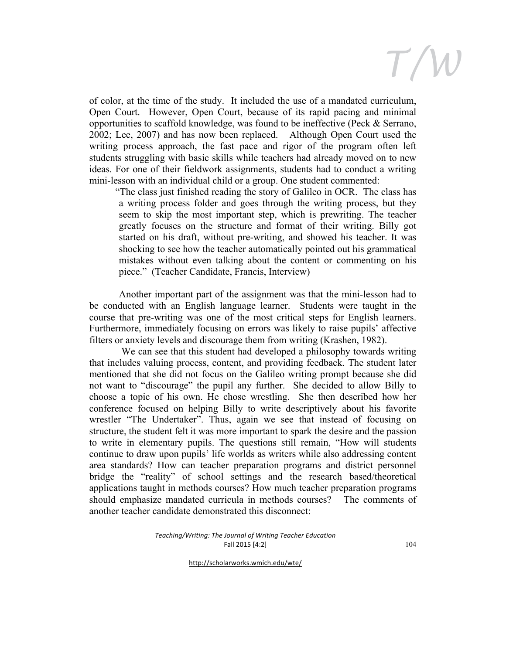of color, at the time of the study. It included the use of a mandated curriculum, Open Court. However, Open Court, because of its rapid pacing and minimal opportunities to scaffold knowledge, was found to be ineffective (Peck & Serrano, 2002; Lee, 2007) and has now been replaced. Although Open Court used the writing process approach, the fast pace and rigor of the program often left students struggling with basic skills while teachers had already moved on to new ideas. For one of their fieldwork assignments, students had to conduct a writing mini-lesson with an individual child or a group. One student commented:

"The class just finished reading the story of Galileo in OCR. The class has a writing process folder and goes through the writing process, but they seem to skip the most important step, which is prewriting. The teacher greatly focuses on the structure and format of their writing. Billy got started on his draft, without pre-writing, and showed his teacher. It was shocking to see how the teacher automatically pointed out his grammatical mistakes without even talking about the content or commenting on his piece." (Teacher Candidate, Francis, Interview)

Another important part of the assignment was that the mini-lesson had to be conducted with an English language learner. Students were taught in the course that pre-writing was one of the most critical steps for English learners. Furthermore, immediately focusing on errors was likely to raise pupils' affective filters or anxiety levels and discourage them from writing (Krashen, 1982).

We can see that this student had developed a philosophy towards writing that includes valuing process, content, and providing feedback. The student later mentioned that she did not focus on the Galileo writing prompt because she did not want to "discourage" the pupil any further. She decided to allow Billy to choose a topic of his own. He chose wrestling. She then described how her conference focused on helping Billy to write descriptively about his favorite wrestler "The Undertaker". Thus, again we see that instead of focusing on structure, the student felt it was more important to spark the desire and the passion to write in elementary pupils. The questions still remain, "How will students continue to draw upon pupils' life worlds as writers while also addressing content area standards? How can teacher preparation programs and district personnel bridge the "reality" of school settings and the research based/theoretical applications taught in methods courses? How much teacher preparation programs should emphasize mandated curricula in methods courses? The comments of another teacher candidate demonstrated this disconnect:

> *Teaching/Writing: The Journal of Writing Teacher Education* Fall 2015 [4:2]

> > http://scholarworks.wmich.edu/wte/

104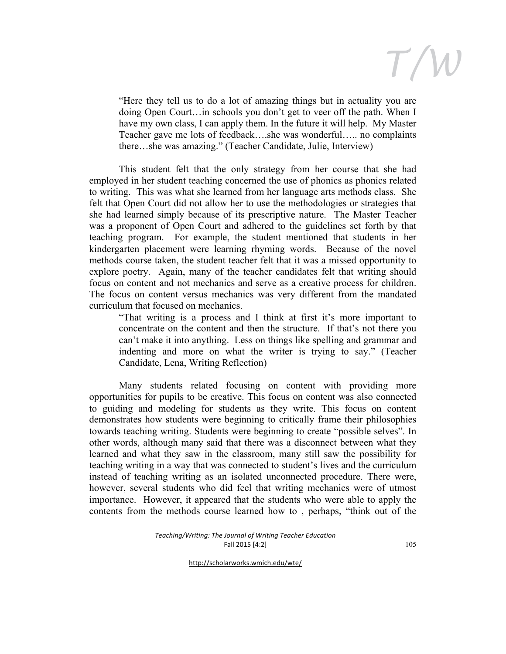

"Here they tell us to do a lot of amazing things but in actuality you are doing Open Court…in schools you don't get to veer off the path. When I have my own class, I can apply them. In the future it will help. My Master Teacher gave me lots of feedback….she was wonderful….. no complaints there…she was amazing." (Teacher Candidate, Julie, Interview)

This student felt that the only strategy from her course that she had employed in her student teaching concerned the use of phonics as phonics related to writing. This was what she learned from her language arts methods class. She felt that Open Court did not allow her to use the methodologies or strategies that she had learned simply because of its prescriptive nature. The Master Teacher was a proponent of Open Court and adhered to the guidelines set forth by that teaching program. For example, the student mentioned that students in her kindergarten placement were learning rhyming words. Because of the novel methods course taken, the student teacher felt that it was a missed opportunity to explore poetry. Again, many of the teacher candidates felt that writing should focus on content and not mechanics and serve as a creative process for children. The focus on content versus mechanics was very different from the mandated curriculum that focused on mechanics.

"That writing is a process and I think at first it's more important to concentrate on the content and then the structure. If that's not there you can't make it into anything. Less on things like spelling and grammar and indenting and more on what the writer is trying to say." (Teacher Candidate, Lena, Writing Reflection)

Many students related focusing on content with providing more opportunities for pupils to be creative. This focus on content was also connected to guiding and modeling for students as they write. This focus on content demonstrates how students were beginning to critically frame their philosophies towards teaching writing. Students were beginning to create "possible selves". In other words, although many said that there was a disconnect between what they learned and what they saw in the classroom, many still saw the possibility for teaching writing in a way that was connected to student's lives and the curriculum instead of teaching writing as an isolated unconnected procedure. There were, however, several students who did feel that writing mechanics were of utmost importance. However, it appeared that the students who were able to apply the contents from the methods course learned how to , perhaps, "think out of the

> *Teaching/Writing: The Journal of Writing Teacher Education* Fall 2015 [4:2]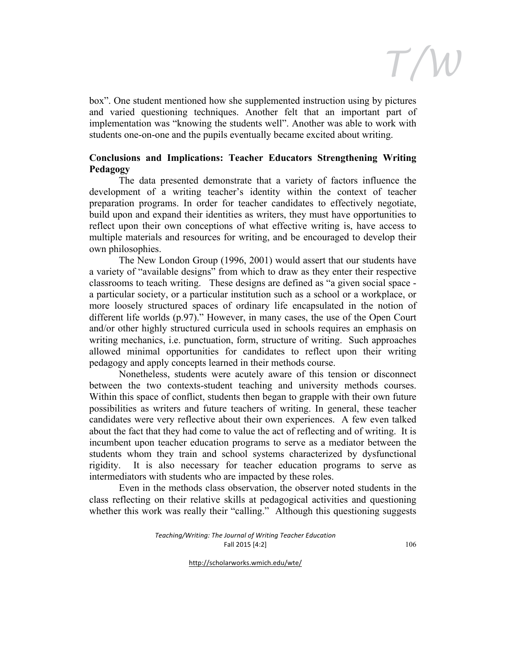

box". One student mentioned how she supplemented instruction using by pictures and varied questioning techniques. Another felt that an important part of implementation was "knowing the students well". Another was able to work with students one-on-one and the pupils eventually became excited about writing.

### **Conclusions and Implications: Teacher Educators Strengthening Writing Pedagogy**

The data presented demonstrate that a variety of factors influence the development of a writing teacher's identity within the context of teacher preparation programs. In order for teacher candidates to effectively negotiate, build upon and expand their identities as writers, they must have opportunities to reflect upon their own conceptions of what effective writing is, have access to multiple materials and resources for writing, and be encouraged to develop their own philosophies.

The New London Group (1996, 2001) would assert that our students have a variety of "available designs" from which to draw as they enter their respective classrooms to teach writing. These designs are defined as "a given social space a particular society, or a particular institution such as a school or a workplace, or more loosely structured spaces of ordinary life encapsulated in the notion of different life worlds (p.97)." However, in many cases, the use of the Open Court and/or other highly structured curricula used in schools requires an emphasis on writing mechanics, i.e. punctuation, form, structure of writing. Such approaches allowed minimal opportunities for candidates to reflect upon their writing pedagogy and apply concepts learned in their methods course.

Nonetheless, students were acutely aware of this tension or disconnect between the two contexts-student teaching and university methods courses. Within this space of conflict, students then began to grapple with their own future possibilities as writers and future teachers of writing. In general, these teacher candidates were very reflective about their own experiences. A few even talked about the fact that they had come to value the act of reflecting and of writing. It is incumbent upon teacher education programs to serve as a mediator between the students whom they train and school systems characterized by dysfunctional rigidity. It is also necessary for teacher education programs to serve as intermediators with students who are impacted by these roles.

Even in the methods class observation, the observer noted students in the class reflecting on their relative skills at pedagogical activities and questioning whether this work was really their "calling." Although this questioning suggests

> *Teaching/Writing: The Journal of Writing Teacher Education* Fall 2015 [4:2]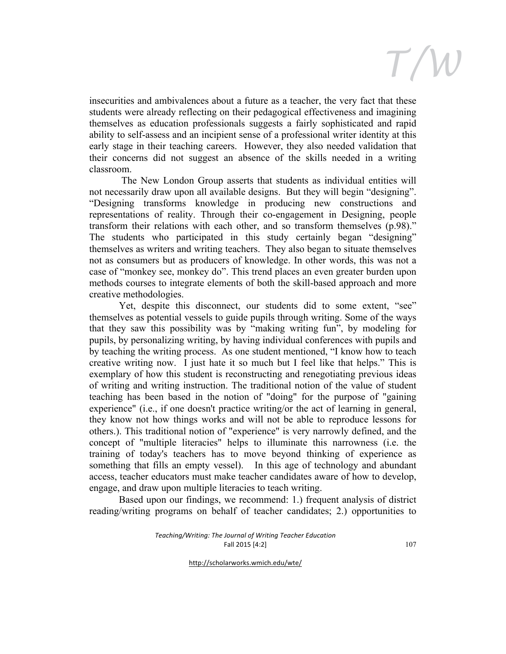

insecurities and ambivalences about a future as a teacher, the very fact that these students were already reflecting on their pedagogical effectiveness and imagining themselves as education professionals suggests a fairly sophisticated and rapid ability to self-assess and an incipient sense of a professional writer identity at this early stage in their teaching careers. However, they also needed validation that their concerns did not suggest an absence of the skills needed in a writing classroom.

The New London Group asserts that students as individual entities will not necessarily draw upon all available designs. But they will begin "designing". "Designing transforms knowledge in producing new constructions and representations of reality. Through their co-engagement in Designing, people transform their relations with each other, and so transform themselves (p.98)." The students who participated in this study certainly began "designing" themselves as writers and writing teachers. They also began to situate themselves not as consumers but as producers of knowledge. In other words, this was not a case of "monkey see, monkey do". This trend places an even greater burden upon methods courses to integrate elements of both the skill-based approach and more creative methodologies.

Yet, despite this disconnect, our students did to some extent, "see" themselves as potential vessels to guide pupils through writing. Some of the ways that they saw this possibility was by "making writing fun", by modeling for pupils, by personalizing writing, by having individual conferences with pupils and by teaching the writing process. As one student mentioned, "I know how to teach creative writing now. I just hate it so much but I feel like that helps." This is exemplary of how this student is reconstructing and renegotiating previous ideas of writing and writing instruction. The traditional notion of the value of student teaching has been based in the notion of "doing" for the purpose of "gaining experience" (i.e., if one doesn't practice writing/or the act of learning in general, they know not how things works and will not be able to reproduce lessons for others.). This traditional notion of "experience" is very narrowly defined, and the concept of "multiple literacies" helps to illuminate this narrowness (i.e. the training of today's teachers has to move beyond thinking of experience as something that fills an empty vessel). In this age of technology and abundant access, teacher educators must make teacher candidates aware of how to develop, engage, and draw upon multiple literacies to teach writing.

Based upon our findings, we recommend: 1.) frequent analysis of district reading/writing programs on behalf of teacher candidates; 2.) opportunities to

> *Teaching/Writing: The Journal of Writing Teacher Education* Fall 2015 [4:2]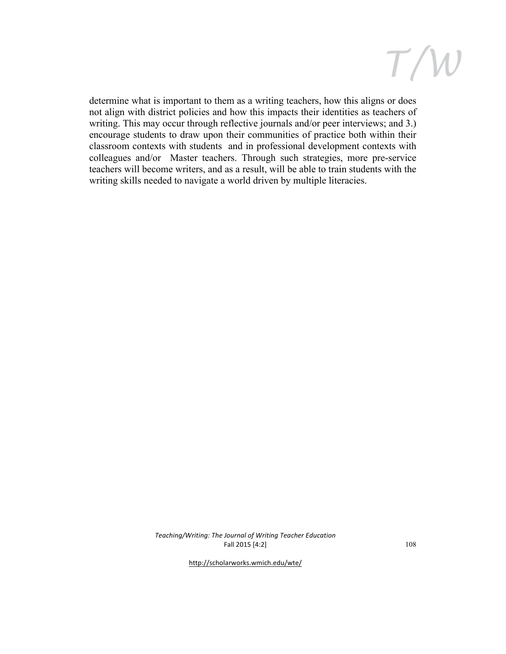

determine what is important to them as a writing teachers, how this aligns or does not align with district policies and how this impacts their identities as teachers of writing. This may occur through reflective journals and/or peer interviews; and 3.) encourage students to draw upon their communities of practice both within their classroom contexts with students and in professional development contexts with colleagues and/or Master teachers. Through such strategies, more pre-service teachers will become writers, and as a result, will be able to train students with the writing skills needed to navigate a world driven by multiple literacies.

> *Teaching/Writing: The Journal of Writing Teacher Education* Fall 2015 [4:2]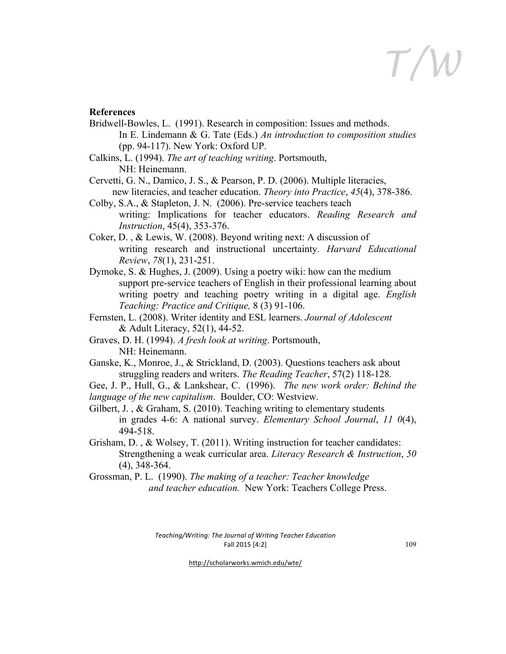#### **References**

- Bridwell-Bowles, L. (1991). Research in composition: Issues and methods. In E. Lindemann & G. Tate (Eds.) *An introduction to composition studies* (pp. 94-117). New York: Oxford UP.
- Calkins, L. (1994). *The art of teaching writing*. Portsmouth, NH: Heinemann.
- Cervetti, G. N., Damico, J. S., & Pearson, P. D. (2006). Multiple literacies, new literacies, and teacher education. *Theory into Practice*, *45*(4), 378-386.
- Colby, S.A., & Stapleton, J. N. (2006). Pre-service teachers teach writing: Implications for teacher educators. *Reading Research and Instruction*, 45(4), 353-376.
- Coker, D. , & Lewis, W. (2008). Beyond writing next: A discussion of writing research and instructional uncertainty. *Harvard Educational Review*, *78*(1), 231-251.
- Dymoke, S. & Hughes, J. (2009). Using a poetry wiki: how can the medium support pre-service teachers of English in their professional learning about writing poetry and teaching poetry writing in a digital age. *English Teaching: Practice and Critique,* 8 (3) 91-106.
- Fernsten, L. (2008). Writer identity and ESL learners. *Journal of Adolescent*  & Adult Literacy, 52(1), 44-52.
- Graves, D. H. (1994). *A fresh look at writing*. Portsmouth, NH: Heinemann.
- Ganske, K., Monroe, J., & Strickland, D. (2003). Questions teachers ask about struggling readers and writers. *The Reading Teacher*, 57(2) 118-128*.*

Gee, J. P., Hull, G., & Lankshear, C. (1996). *The new work order: Behind the language of the new capitalism*. Boulder, CO: Westview.

- Gilbert, J., & Graham, S. (2010). Teaching writing to elementary students in grades 4-6: A national survey. *Elementary School Journal*, *11 0*(4), 494-518.
- Grisham, D. , & Wolsey, T. (2011). Writing instruction for teacher candidates: Strengthening a weak curricular area. *Literacy Research & Instruction*, *50*  (4), 348-364.
- Grossman, P. L. (1990). *The making of a teacher: Teacher knowledge and teacher education.* New York: Teachers College Press.

*Teaching/Writing: The Journal of Writing Teacher Education* Fall 2015 [4:2]

109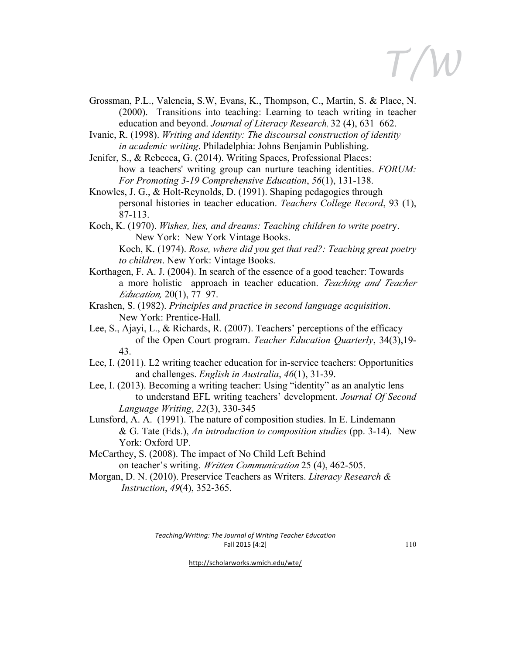*T/W*

Grossman, P.L., Valencia, S.W, Evans, K., Thompson, C., Martin, S. & Place, N. (2000). Transitions into teaching: Learning to teach writing in teacher education and beyond. *Journal of Literacy Research*, 32 (4), 631–662.

Ivanic, R. (1998). *Writing and identity: The discoursal construction of identity in academic writing*. Philadelphia: Johns Benjamin Publishing.

- Jenifer, S., & Rebecca, G. (2014). Writing Spaces, Professional Places: how a teachers' writing group can nurture teaching identities. *FORUM: For Promoting 3-19 Comprehensive Education*, *56*(1), 131-138.
- Knowles, J. G., & Holt-Reynolds, D. (1991). Shaping pedagogies through personal histories in teacher education. *Teachers College Record*, 93 (1), 87-113.
- Koch, K. (1970). *Wishes, lies, and dreams: Teaching children to write poetr*y. New York: New York Vintage Books.

- Korthagen, F. A. J. (2004). In search of the essence of a good teacher: Towards a more holistic approach in teacher education. *Teaching and Teacher Education,* 20(1), 77–97.
- Krashen, S. (1982). *Principles and practice in second language acquisition*. New York: Prentice-Hall.
- Lee, S., Ajayi, L., & Richards, R. (2007). Teachers' perceptions of the efficacy of the Open Court program. *Teacher Education Quarterly*, 34(3),19- 43.
- Lee, I. (2011). L2 writing teacher education for in-service teachers: Opportunities and challenges. *English in Australia*, *46*(1), 31-39.
- Lee, I. (2013). Becoming a writing teacher: Using "identity" as an analytic lens to understand EFL writing teachers' development. *Journal Of Second Language Writing*, *22*(3), 330-345
- Lunsford, A. A. (1991). The nature of composition studies. In E. Lindemann & G. Tate (Eds.), *An introduction to composition studies* (pp. 3-14). New York: Oxford UP.
- McCarthey, S. (2008). The impact of No Child Left Behind on teacher's writing. *Written Communication* 25 (4), 462-505.
- Morgan, D. N. (2010). Preservice Teachers as Writers. *Literacy Research & Instruction*, *49*(4), 352-365.

*Teaching/Writing: The Journal of Writing Teacher Education* Fall 2015 [4:2]

110

Koch, K. (1974). *Rose, where did you get that red?: Teaching great poetry to children*. New York: Vintage Books.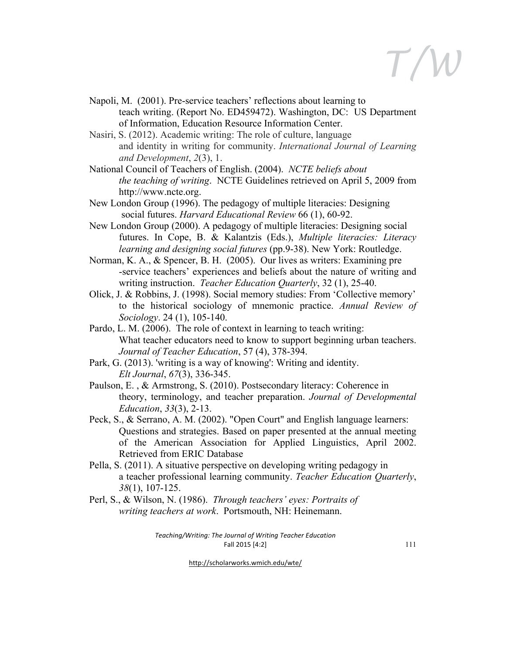*T/W*

- Napoli, M. (2001). Pre-service teachers' reflections about learning to teach writing. (Report No. ED459472). Washington, DC: US Department of Information, Education Resource Information Center.
- Nasiri, S. (2012). Academic writing: The role of culture, language and identity in writing for community. *International Journal of Learning and Development*, *2*(3), 1.
- National Council of Teachers of English. (2004). *NCTE beliefs about the teaching of writing*. NCTE Guidelines retrieved on April 5, 2009 from http://www.ncte.org.
- New London Group (1996). The pedagogy of multiple literacies: Designing social futures. *Harvard Educational Review* 66 (1), 60-92.
- New London Group (2000). A pedagogy of multiple literacies: Designing social futures. In Cope, B. & Kalantzis (Eds.), *Multiple literacies: Literacy learning and designing social futures* (pp.9-38). New York: Routledge.
- Norman, K. A., & Spencer, B. H. (2005). Our lives as writers: Examining pre -service teachers' experiences and beliefs about the nature of writing and writing instruction. *Teacher Education Quarterly*, 32 (1), 25-40.
- Olick, J. & Robbins, J. (1998). Social memory studies: From 'Collective memory' to the historical sociology of mnemonic practice. *Annual Review of Sociology*. 24 (1), 105-140.
- Pardo, L. M. (2006). The role of context in learning to teach writing: What teacher educators need to know to support beginning urban teachers. *Journal of Teacher Education*, 57 (4), 378-394.
- Park, G. (2013). 'writing is a way of knowing': Writing and identity. *Elt Journal*, *67*(3), 336-345.
- Paulson, E. , & Armstrong, S. (2010). Postsecondary literacy: Coherence in theory, terminology, and teacher preparation. *Journal of Developmental Education*, *33*(3), 2-13.
- Peck, S., & Serrano, A. M. (2002). "Open Court" and English language learners: Questions and strategies. Based on paper presented at the annual meeting of the American Association for Applied Linguistics, April 2002. Retrieved from ERIC Database
- Pella, S. (2011). A situative perspective on developing writing pedagogy in a teacher professional learning community. *Teacher Education Quarterly*, *38*(1), 107-125.
- Perl, S., & Wilson, N. (1986). *Through teachers' eyes: Portraits of writing teachers at work*. Portsmouth, NH: Heinemann.

*Teaching/Writing: The Journal of Writing Teacher Education* Fall 2015 [4:2]

111